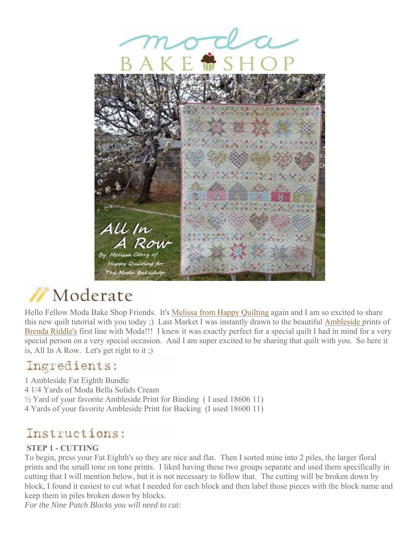

# Moderate

Hello Fellow Moda Bake Shop Friends. It's Melissa from Happy Quilting again and I am so excited to share this new quilt tutorial with you today ;) Last Market I was instantly drawn to the beautiful Ambleside prints of Brenda Riddle's first line with Moda!!! I knew it was exactly perfect for a special quilt I had in mind for a very special person on a very special occasion. And I am super excited to be sharing that quilt with you. So here it is, All In A Row. Let's get right to it ;)

### Ingredients:

1 Ambleside Fat Eighth Bundle 4 1/4 Yards of Moda Bella Solids Cream  $\frac{1}{2}$  Yard of your favorite Ambleside Print for Binding (I used 18606 11) 4 Yards of your favorite Ambleside Print for Backing (I used 18600 11)

## Instructions:

### **STEP 1 - CUTTING**

To begin, press your Fat Eighth's so they are nice and flat. Then I sorted mine into 2 piles, the larger floral prints and the small tone on tone prints. I liked having these two groups separate and used them specifically in cutting that I will mention below, but it is not necessary to follow that. The cutting will be broken down by block, I found it easiest to cut what I needed for each block and then label those pieces with the block name and keep them in piles broken down by blocks.

*For the Nine Patch Blocks you will need to cut:*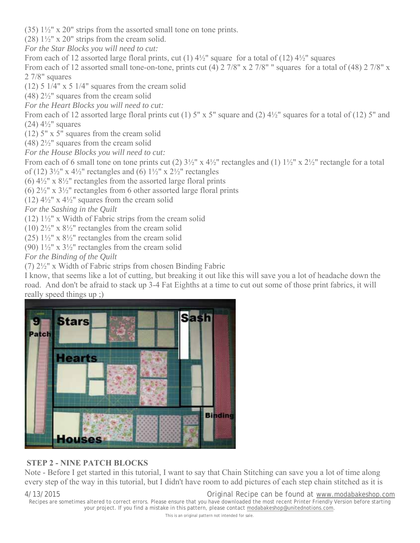(35)  $1\frac{1}{2}$ " x 20" strips from the assorted small tone on tone prints.

(28)  $1\frac{1}{2}$ " x 20" strips from the cream solid.

*For the Star Blocks you will need to cut:*

From each of 12 assorted large floral prints, cut (1)  $4\frac{1}{2}$ " square for a total of (12)  $4\frac{1}{2}$ " squares

From each of 12 assorted small tone-on-tone, prints cut (4) 2 7/8" x 2 7/8" " squares for a total of (48) 2 7/8" x 2 7/8" squares

(12) 5  $1/4$ " x 5  $1/4$ " squares from the cream solid

 $(48)$   $2\frac{1}{2}$ " squares from the cream solid

*For the Heart Blocks you will need to cut:*

From each of 12 assorted large floral prints cut (1) 5" x 5" square and (2)  $4\frac{1}{2}$ " squares for a total of (12) 5" and (24)  $4\frac{1}{2}$ " squares

(12) 5" x 5" squares from the cream solid

 $(48)$  2<sup>1</sup>/<sub>2</sub>" squares from the cream solid

*For the House Blocks you will need to cut:*

From each of 6 small tone on tone prints cut (2)  $3\frac{1}{2}$ " x  $4\frac{1}{2}$ " rectangles and (1)  $1\frac{1}{2}$ " x  $2\frac{1}{2}$ " rectangle for a total of (12)  $3\frac{1}{2}$ " x  $4\frac{1}{2}$ " rectangles and (6)  $1\frac{1}{2}$ " x  $2\frac{1}{2}$ " rectangles

(6)  $4\frac{1}{2}$ " x  $8\frac{1}{2}$ " rectangles from the assorted large floral prints

(6)  $2\frac{1}{2}$ " x  $3\frac{1}{2}$ " rectangles from 6 other assorted large floral prints

(12)  $4\frac{1}{2}$ " x  $4\frac{1}{2}$ " squares from the cream solid

*For the Sashing in the Quilt*

(12)  $1\frac{1}{2}$ " x Width of Fabric strips from the cream solid

(10)  $2\frac{1}{2}$ " x  $8\frac{1}{2}$ " rectangles from the cream solid

(25)  $1\frac{1}{2}$ " x  $8\frac{1}{2}$ " rectangles from the cream solid

(90)  $1\frac{1}{2}$ " x  $3\frac{1}{2}$ " rectangles from the cream solid

*For the Binding of the Quilt*

(7) 2½" x Width of Fabric strips from chosen Binding Fabric

I know, that seems like a lot of cutting, but breaking it out like this will save you a lot of headache down the road. And don't be afraid to stack up 3-4 Fat Eighths at a time to cut out some of those print fabrics, it will really speed things up ;)



#### **STEP 2 - NINE PATCH BLOCKS**

Note - Before I get started in this tutorial, I want to say that Chain Stitching can save you a lot of time along every step of the way in this tutorial, but I didn't have room to add pictures of each step chain stitched as it is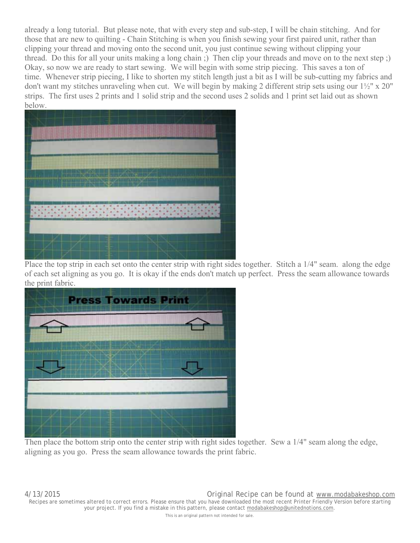already a long tutorial. But please note, that with every step and sub-step, I will be chain stitching. And for those that are new to quilting - Chain Stitching is when you finish sewing your first paired unit, rather than clipping your thread and moving onto the second unit, you just continue sewing without clipping your thread. Do this for all your units making a long chain ;) Then clip your threads and move on to the next step ;) Okay, so now we are ready to start sewing. We will begin with some strip piecing. This saves a ton of time. Whenever strip piecing, I like to shorten my stitch length just a bit as I will be sub-cutting my fabrics and don't want my stitches unraveling when cut. We will begin by making 2 different strip sets using our 1½" x 20" strips. The first uses 2 prints and 1 solid strip and the second uses 2 solids and 1 print set laid out as shown below.



Place the top strip in each set onto the center strip with right sides together. Stitch a 1/4" seam. along the edge of each set aligning as you go. It is okay if the ends don't match up perfect. Press the seam allowance towards the print fabric.



Then place the bottom strip onto the center strip with right sides together. Sew a 1/4" seam along the edge, aligning as you go. Press the seam allowance towards the print fabric.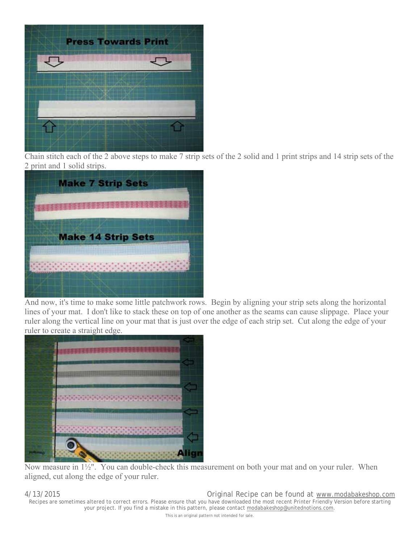

Chain stitch each of the 2 above steps to make 7 strip sets of the 2 solid and 1 print strips and 14 strip sets of the 2 print and 1 solid strips.



And now, it's time to make some little patchwork rows. Begin by aligning your strip sets along the horizontal lines of your mat. I don't like to stack these on top of one another as the seams can cause slippage. Place your ruler along the vertical line on your mat that is just over the edge of each strip set. Cut along the edge of your ruler to create a straight edge.



Now measure in 1½". You can double-check this measurement on both your mat and on your ruler. When aligned, cut along the edge of your ruler.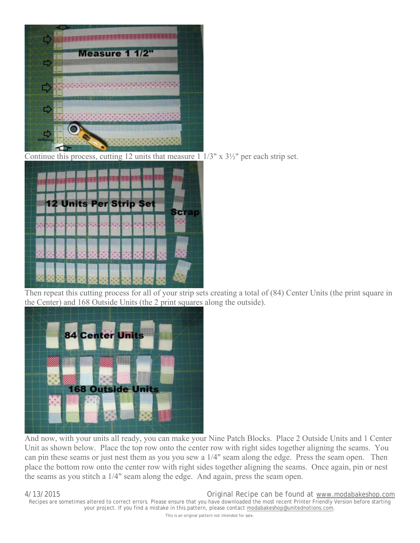

Continue this process, cutting 12 units that measure 1  $1/3$ " x  $3\frac{1}{2}$ " per each strip set.



Then repeat this cutting process for all of your strip sets creating a total of (84) Center Units (the print square in the Center) and 168 Outside Units (the 2 print squares along the outside).



And now, with your units all ready, you can make your Nine Patch Blocks. Place 2 Outside Units and 1 Center Unit as shown below. Place the top row onto the center row with right sides together aligning the seams. You can pin these seams or just nest them as you you sew a 1/4" seam along the edge. Press the seam open. Then place the bottom row onto the center row with right sides together aligning the seams. Once again, pin or nest the seams as you stitch a 1/4" seam along the edge. And again, press the seam open.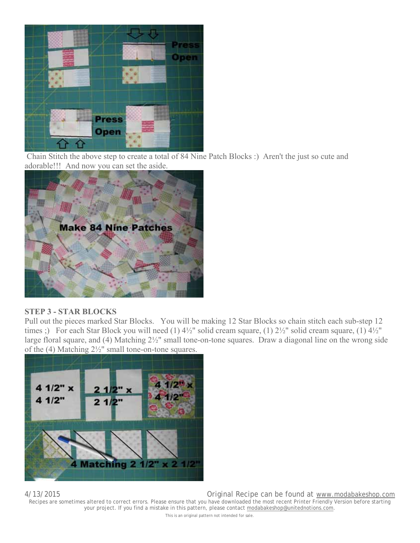

Chain Stitch the above step to create a total of 84 Nine Patch Blocks :) Aren't the just so cute and adorable!!! And now you can set the aside.



#### **STEP 3 - STAR BLOCKS**

Pull out the pieces marked Star Blocks. You will be making 12 Star Blocks so chain stitch each sub-step 12 times ;) For each Star Block you will need (1)  $4\frac{1}{2}$ " solid cream square, (1)  $2\frac{1}{2}$ " solid cream square, (1)  $4\frac{1}{2}$ " large floral square, and (4) Matching 2½" small tone-on-tone squares. Draw a diagonal line on the wrong side of the (4) Matching 2½" small tone-on-tone squares.

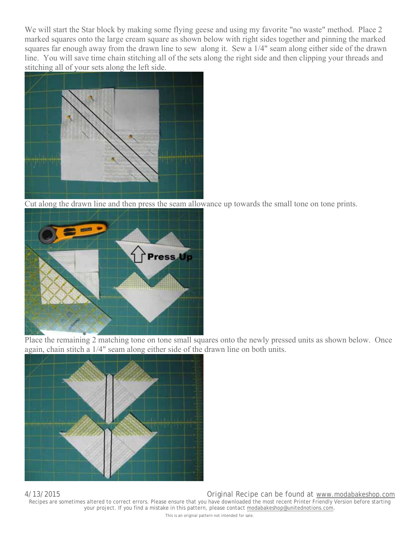We will start the Star block by making some flying geese and using my favorite "no waste" method. Place 2 marked squares onto the large cream square as shown below with right sides together and pinning the marked squares far enough away from the drawn line to sew along it. Sew a 1/4" seam along either side of the drawn line. You will save time chain stitching all of the sets along the right side and then clipping your threads and stitching all of your sets along the left side.



Cut along the drawn line and then press the seam allowance up towards the small tone on tone prints.



Place the remaining 2 matching tone on tone small squares onto the newly pressed units as shown below. Once again, chain stitch a 1/4" seam along either side of the drawn line on both units.

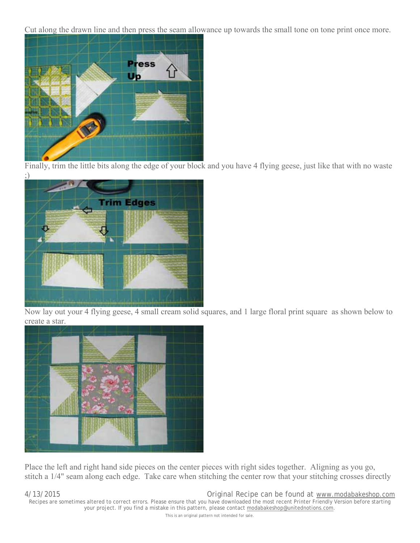Cut along the drawn line and then press the seam allowance up towards the small tone on tone print once more.



Finally, trim the little bits along the edge of your block and you have 4 flying geese, just like that with no waste ;)



Now lay out your 4 flying geese, 4 small cream solid squares, and 1 large floral print square as shown below to create a star.



Place the left and right hand side pieces on the center pieces with right sides together. Aligning as you go, stitch a 1/4" seam along each edge. Take care when stitching the center row that your stitching crosses directly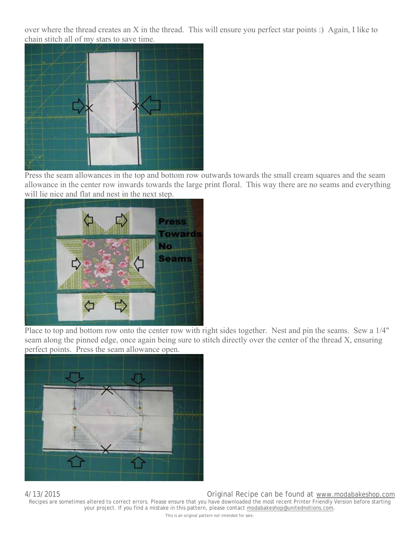over where the thread creates an X in the thread. This will ensure you perfect star points :) Again, I like to chain stitch all of my stars to save time.



Press the seam allowances in the top and bottom row outwards towards the small cream squares and the seam allowance in the center row inwards towards the large print floral. This way there are no seams and everything will lie nice and flat and nest in the next step.



Place to top and bottom row onto the center row with right sides together. Nest and pin the seams. Sew a 1/4" seam along the pinned edge, once again being sure to stitch directly over the center of the thread X, ensuring perfect points. Press the seam allowance open.

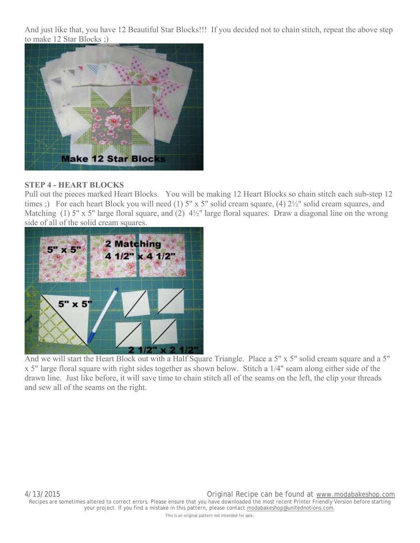And just like that, you have 12 Beautiful Star Blocks!!! If you decided not to chain stitch, repeat the above step to make 12 Star Blocks ;)



#### **STEP 4 - HEART BLOCKS**

Pull out the pieces marked Heart Blocks. You will be making 12 Heart Blocks so chain stitch each sub-step 12 times ;) For each heart Block you will need (1) 5" x 5" solid cream square, (4)  $2\frac{1}{2}$ " solid cream squares, and Matching (1) 5" x 5" large floral square, and (2)  $4\frac{1}{2}$ " large floral squares. Draw a diagonal line on the wrong side of all of the solid cream squares.



And we will start the Heart Block out with a Half Square Triangle. Place a 5" x 5" solid cream square and a 5" x 5" large floral square with right sides together as shown below. Stitch a 1/4" seam along either side of the drawn line. Just like before, it will save time to chain stitch all of the seams on the left, the clip your threads and sew all of the seams on the right.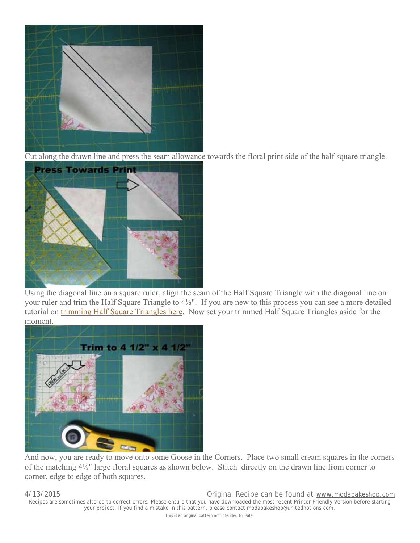

Cut along the drawn line and press the seam allowance towards the floral print side of the half square triangle.



Using the diagonal line on a square ruler, align the seam of the Half Square Triangle with the diagonal line on your ruler and trim the Half Square Triangle to 4½". If you are new to this process you can see a more detailed tutorial on trimming Half Square Triangles here. Now set your trimmed Half Square Triangles aside for the moment.



And now, you are ready to move onto some Goose in the Corners. Place two small cream squares in the corners of the matching 4½" large floral squares as shown below. Stitch directly on the drawn line from corner to corner, edge to edge of both squares.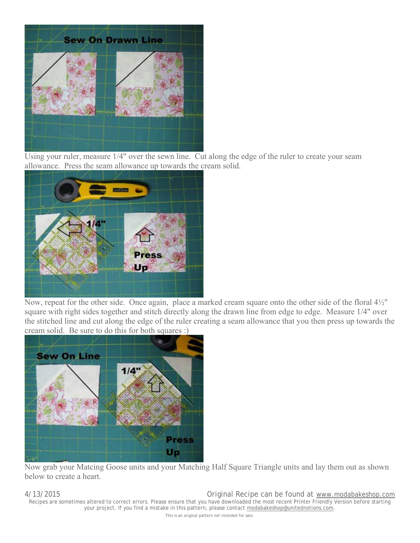

Using your ruler, measure 1/4" over the sewn line. Cut along the edge of the ruler to create your seam allowance. Press the seam allowance up towards the cream solid.



Now, repeat for the other side. Once again, place a marked cream square onto the other side of the floral 4½" square with right sides together and stitch directly along the drawn line from edge to edge. Measure 1/4" over the stitched line and cut along the edge of the ruler creating a seam allowance that you then press up towards the cream solid. Be sure to do this for both squares :)



Now grab your Matcing Goose units and your Matching Half Square Triangle units and lay them out as shown below to create a heart.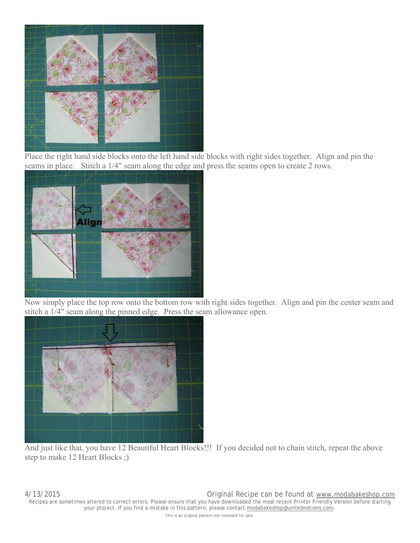

Place the right hand side blocks onto the left hand side blocks with right sides together. Align and pin the seams in place. Stitch a 1/4" seam along the edge and press the seams open to create 2 rows.



Now simply place the top row onto the bottom row with right sides together. Align and pin the center seam and stitch a 1/4" seam along the pinned edge. Press the seam allowance open.



And just like that, you have 12 Beautiful Heart Blocks!!! If you decided not to chain stitch, repeat the above step to make 12 Heart Blocks ;)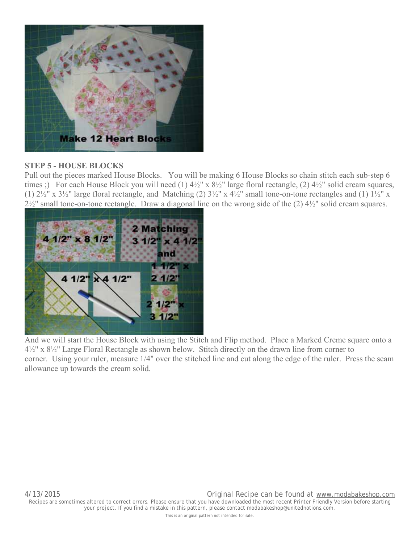

#### **STEP 5 - HOUSE BLOCKS**

Pull out the pieces marked House Blocks. You will be making 6 House Blocks so chain stitch each sub-step 6 times ;) For each House Block you will need (1)  $4\frac{1}{2}$ " x  $8\frac{1}{2}$ " large floral rectangle, (2)  $4\frac{1}{2}$ " solid cream squares, (1)  $2\frac{1}{2}$ " x  $3\frac{1}{2}$ " large floral rectangle, and Matching (2)  $3\frac{1}{2}$ " x  $4\frac{1}{2}$ " small tone-on-tone rectangles and (1)  $1\frac{1}{2}$ " x 2½" small tone-on-tone rectangle. Draw a diagonal line on the wrong side of the (2) 4½" solid cream squares.



And we will start the House Block with using the Stitch and Flip method. Place a Marked Creme square onto a 4½" x 8½" Large Floral Rectangle as shown below. Stitch directly on the drawn line from corner to corner. Using your ruler, measure 1/4" over the stitched line and cut along the edge of the ruler. Press the seam allowance up towards the cream solid.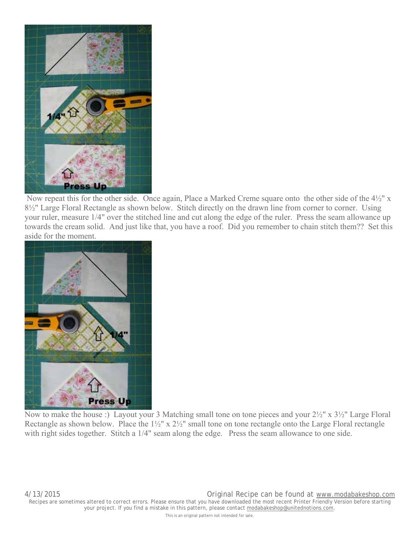

 Now repeat this for the other side. Once again, Place a Marked Creme square onto the other side of the 4½" x 8½" Large Floral Rectangle as shown below. Stitch directly on the drawn line from corner to corner. Using your ruler, measure 1/4" over the stitched line and cut along the edge of the ruler. Press the seam allowance up towards the cream solid. And just like that, you have a roof. Did you remember to chain stitch them?? Set this aside for the moment.



Now to make the house :) Layout your 3 Matching small tone on tone pieces and your 2½" x 3½" Large Floral Rectangle as shown below. Place the  $1\frac{1}{2}$ " x  $2\frac{1}{2}$ " small tone on tone rectangle onto the Large Floral rectangle with right sides together. Stitch a 1/4" seam along the edge. Press the seam allowance to one side.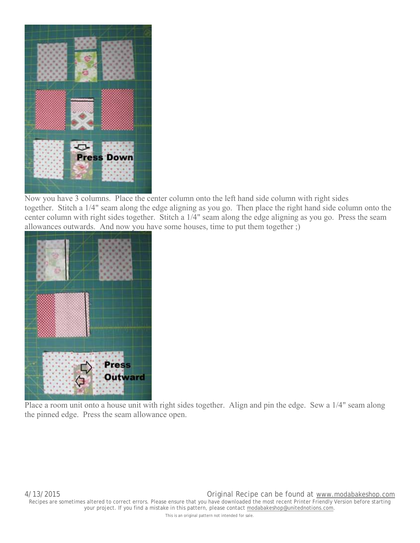

Now you have 3 columns. Place the center column onto the left hand side column with right sides together. Stitch a 1/4" seam along the edge aligning as you go. Then place the right hand side column onto the center column with right sides together. Stitch a 1/4" seam along the edge aligning as you go. Press the seam allowances outwards. And now you have some houses, time to put them together ;)



Place a room unit onto a house unit with right sides together. Align and pin the edge. Sew a 1/4" seam along the pinned edge. Press the seam allowance open.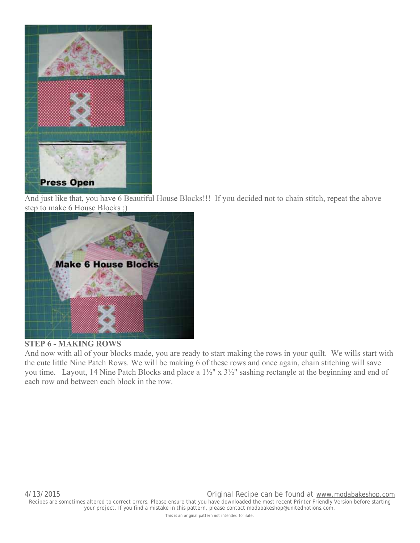

And just like that, you have 6 Beautiful House Blocks!!! If you decided not to chain stitch, repeat the above step to make 6 House Blocks ;)



#### **STEP 6 - MAKING ROWS**

And now with all of your blocks made, you are ready to start making the rows in your quilt. We wills start with the cute little Nine Patch Rows. We will be making 6 of these rows and once again, chain stitching will save you time. Layout, 14 Nine Patch Blocks and place a 1½" x 3½" sashing rectangle at the beginning and end of each row and between each block in the row.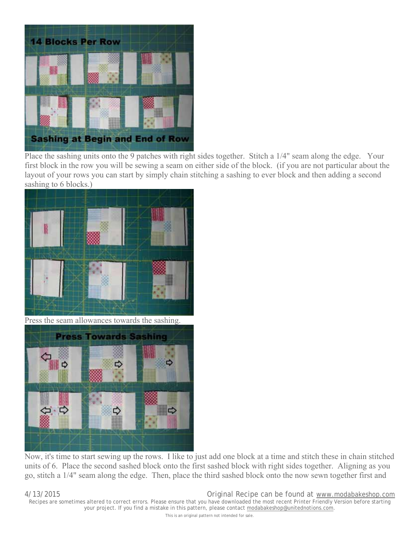

Place the sashing units onto the 9 patches with right sides together. Stitch a 1/4" seam along the edge. Your first block in the row you will be sewing a seam on either side of the block. (if you are not particular about the layout of your rows you can start by simply chain stitching a sashing to ever block and then adding a second sashing to 6 blocks.)



Press the seam allowances towards the sashing.



Now, it's time to start sewing up the rows. I like to just add one block at a time and stitch these in chain stitched units of 6. Place the second sashed block onto the first sashed block with right sides together. Aligning as you go, stitch a 1/4" seam along the edge. Then, place the third sashed block onto the now sewn together first and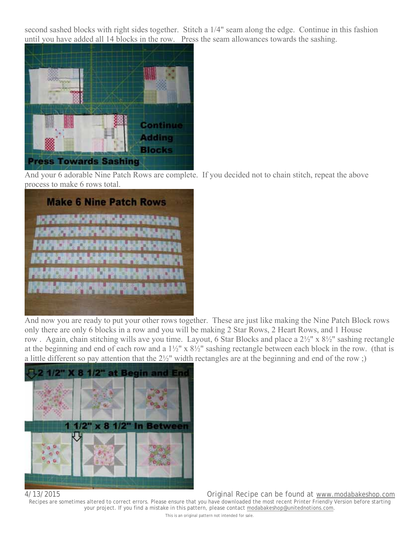second sashed blocks with right sides together. Stitch a 1/4" seam along the edge. Continue in this fashion until you have added all 14 blocks in the row. Press the seam allowances towards the sashing.



And your 6 adorable Nine Patch Rows are complete. If you decided not to chain stitch, repeat the above process to make 6 rows total.

|                     | <b>Make 6 Nine Patch Rows</b> |
|---------------------|-------------------------------|
|                     | <b>CONTRACTOR</b>             |
|                     | C-l                           |
| IK IP<br><b>COL</b> | the th                        |
| <b>Silici P</b>     | <b>PAUL</b>                   |
|                     | <b>THE R</b><br><b>Palace</b> |
|                     |                               |

And now you are ready to put your other rows together. These are just like making the Nine Patch Block rows only there are only 6 blocks in a row and you will be making 2 Star Rows, 2 Heart Rows, and 1 House row . Again, chain stitching wills ave you time. Layout, 6 Star Blocks and place a 2½" x 8½" sashing rectangle at the beginning and end of each row and a 1½" x 8½" sashing rectangle between each block in the row. (that is a little different so pay attention that the 2½" width rectangles are at the beginning and end of the row ;)



4/13/2015 Original Recipe can be found at www.modabakeshop.com

Recipes are sometimes altered to correct errors. Please ensure that you have downloaded the most recent Printer Friendly Version before starting your project. If you find a mistake in this pattern, please contact modabakeshop@unitednotions.com.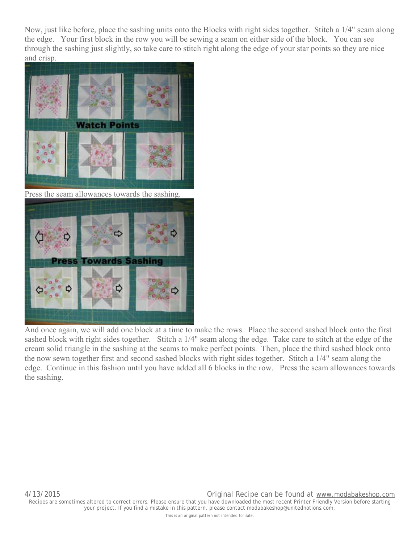Now, just like before, place the sashing units onto the Blocks with right sides together. Stitch a 1/4" seam along the edge. Your first block in the row you will be sewing a seam on either side of the block. You can see through the sashing just slightly, so take care to stitch right along the edge of your star points so they are nice and crisp.



Press the seam allowances towards the sashing.



And once again, we will add one block at a time to make the rows. Place the second sashed block onto the first sashed block with right sides together. Stitch a 1/4" seam along the edge. Take care to stitch at the edge of the cream solid triangle in the sashing at the seams to make perfect points. Then, place the third sashed block onto the now sewn together first and second sashed blocks with right sides together. Stitch a 1/4" seam along the edge. Continue in this fashion until you have added all 6 blocks in the row. Press the seam allowances towards the sashing.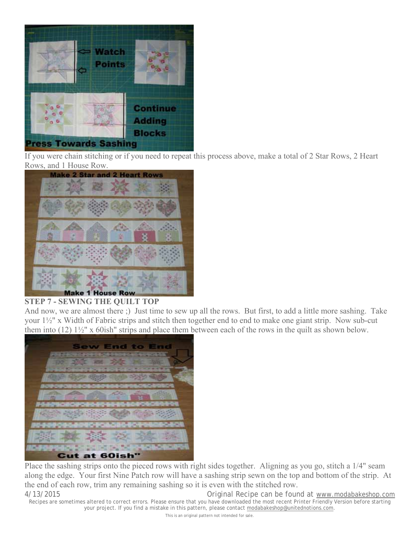

If you were chain stitching or if you need to repeat this process above, make a total of 2 Star Rows, 2 Heart Rows, and 1 House Row.



#### **STEP 7 - SEWING THE QUILT TOP**

And now, we are almost there ;) Just time to sew up all the rows. But first, to add a little more sashing. Take your 1½" x Width of Fabric strips and stitch then together end to end to make one giant strip. Now sub-cut them into (12) 1½" x 60ish" strips and place them between each of the rows in the quilt as shown below.



Place the sashing strips onto the pieced rows with right sides together. Aligning as you go, stitch a 1/4" seam along the edge. Your first Nine Patch row will have a sashing strip sewn on the top and bottom of the strip. At the end of each row, trim any remaining sashing so it is even with the stitched row.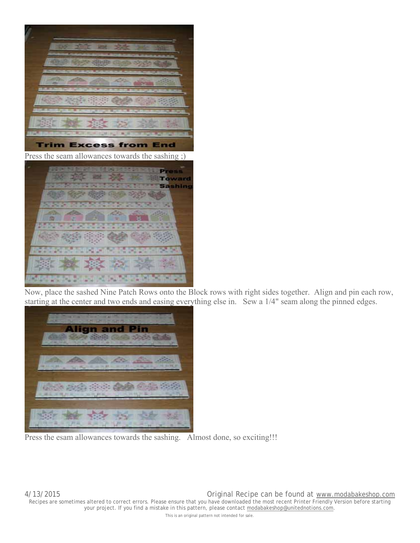

Now, place the sashed Nine Patch Rows onto the Block rows with right sides together. Align and pin each row, starting at the center and two ends and easing everything else in. Sew a 1/4" seam along the pinned edges.



Press the esam allowances towards the sashing. Almost done, so exciting!!!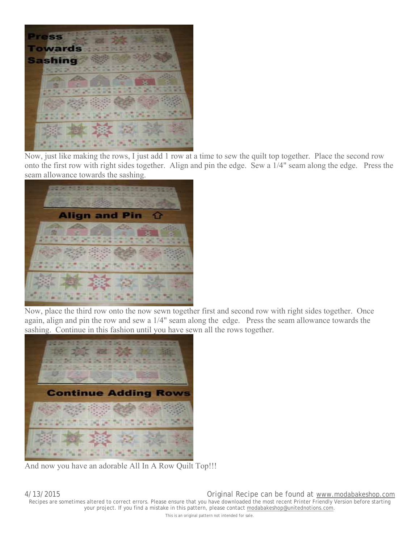

Now, just like making the rows, I just add 1 row at a time to sew the quilt top together. Place the second row onto the first row with right sides together. Align and pin the edge. Sew a 1/4" seam along the edge. Press the seam allowance towards the sashing.



Now, place the third row onto the now sewn together first and second row with right sides together. Once again, align and pin the row and sew a 1/4" seam along the edge. Press the seam allowance towards the sashing. Continue in this fashion until you have sewn all the rows together.



And now you have an adorable All In A Row Quilt Top!!!